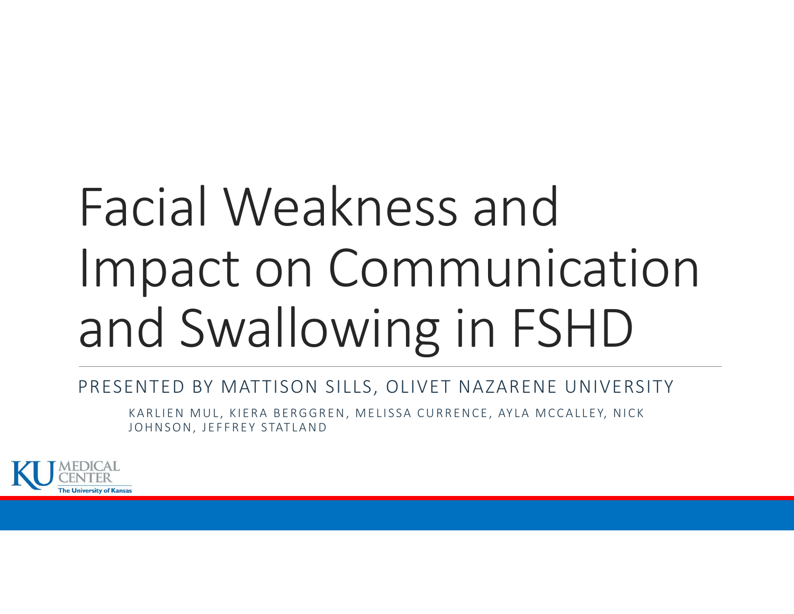# Facial Weakness and Impact on Communication and Swallowing in FSHD Cial Weakness and<br>
Spact on Communication<br>
COMPOSE TO FOUR SURFORD IN ESTANTION<br>
ENTED BY MATTISON SILLS, OLIVET NAZARENE UNIVERSITY<br>
CONNSON, JEFFREY STATLAND<br>
CONNSON, JEFFREY STATLAND CIAl Weakness and<br>
1 pact on Communication<br>
1 Swallowing in FSHD<br>
ENTED BY MATTISON SILLS, OLIVET NAZARENE UNIVERS<br>
KARLIEN MUL, KIERA BERGGREN, MELISSA CURRENCE, AYLA MCCALLEY, NICK<br>
10 HNSON, JEFFREY STATLAND<br>
.

#### PRESENTED BY MATTISON SILLS, OLIVET NAZARENE UNIVERSITY

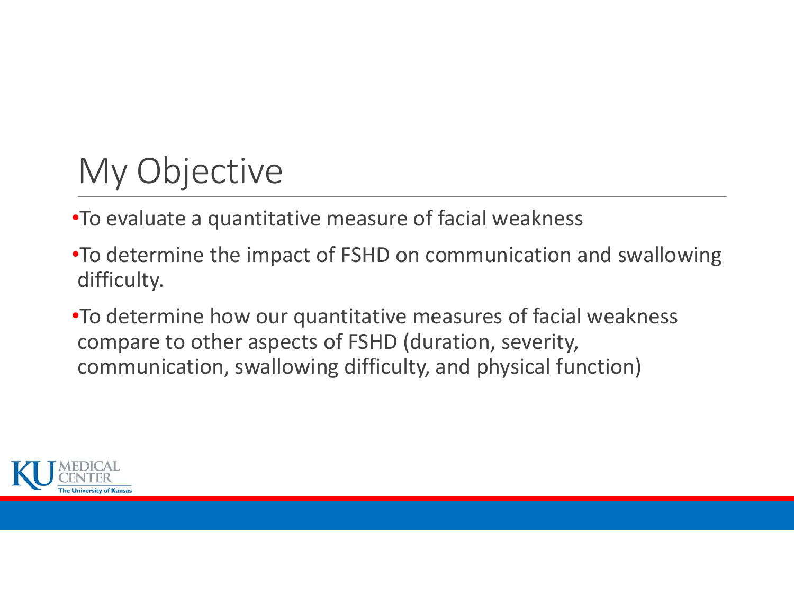# My Objective

•To evaluate a quantitative measure of facial weakness

- •To determine the impact of FSHD on communication and swallowing difficulty.
- •To determine how our quantitative measures of facial weakness compare to other aspects of FSHD (duration, severity, communication, swallowing difficulty, and physical function)

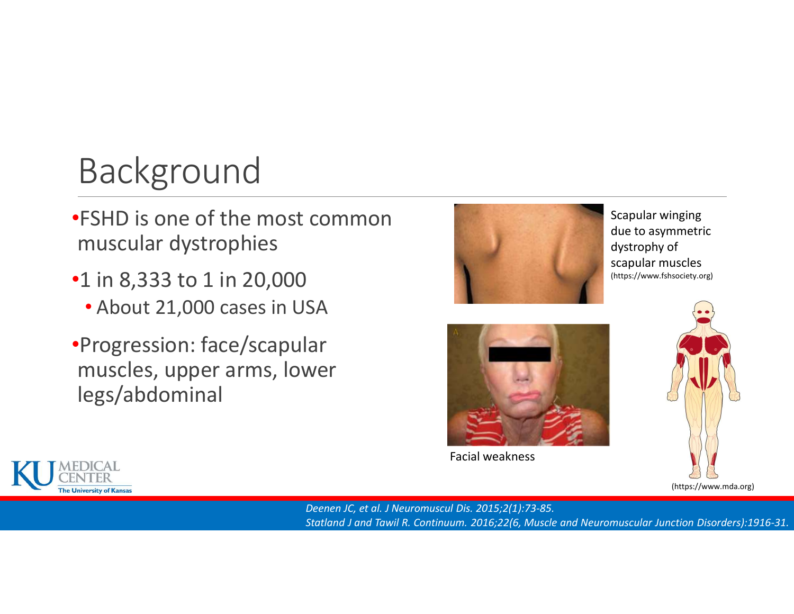# Background

- •FSHD is one of the most common muscular dystrophies
- •1 in 8,333 to 1 in 20,000
	- About 21,000 cases in USA
- •Progression: face/scapular muscles, upper arms, lower legs/abdominal



Scapular winging due to asymmetric dystrophy of scapular muscles (https://www.fshsociety.org)



Facial weakness





Statland J and Tawil R. Continuum. 2016;22(6, Muscle and Neuromuscular Junction Disorders):1916-31.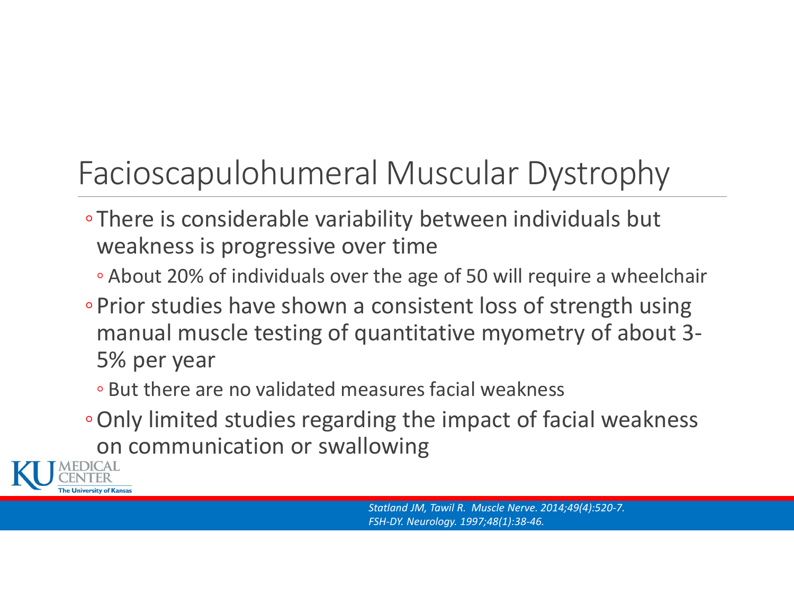# Facioscapulohumeral Muscular Dystrophy

- There is considerable variability between individuals but weakness is progressive over time
	- About 20% of individuals over the age of 50 will require a wheelchair
- ◦Prior studies have shown a consistent loss of strength using acioscapulohumeral Muscular Dystrophy<br>There is considerable variability between individuals but<br>weakness is progressive over time<br>
• About 20% of individuals over the age of 50 will require a wheelchair<br>Prior studies have 5% per year
	- But there are no validated measures facial weakness
- ◦Only limited studies regarding the impact of facial weakness on communication or swallowing

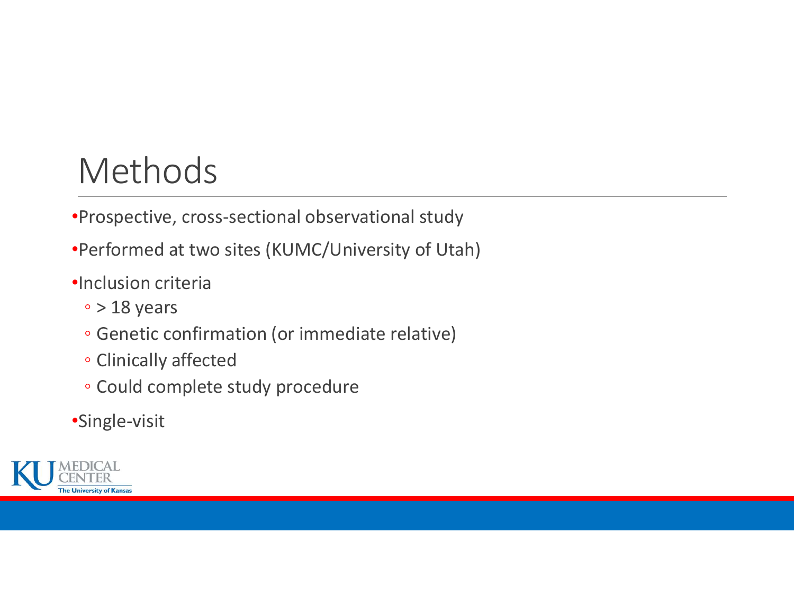# Methods

•Prospective, cross-sectional observational study

- •Performed at two sites (KUMC/University of Utah)
- •Inclusion criteria
	- > 18 years
	- Genetic confirmation (or immediate relative)
	- Clinically affected
	- Could complete study procedure
- •Single-visit

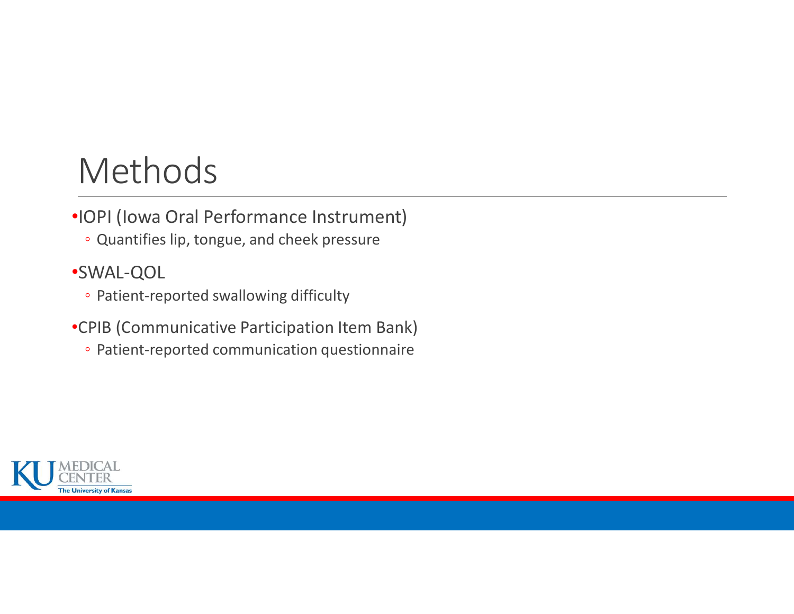# Methods

- •IOPI (Iowa Oral Performance Instrument)
	- Quantifies lip, tongue, and cheek pressure
- •SWAL-QOL
	- Patient-reported swallowing difficulty
- •CPIB (Communicative Participation Item Bank)
	- Patient-reported communication questionnaire

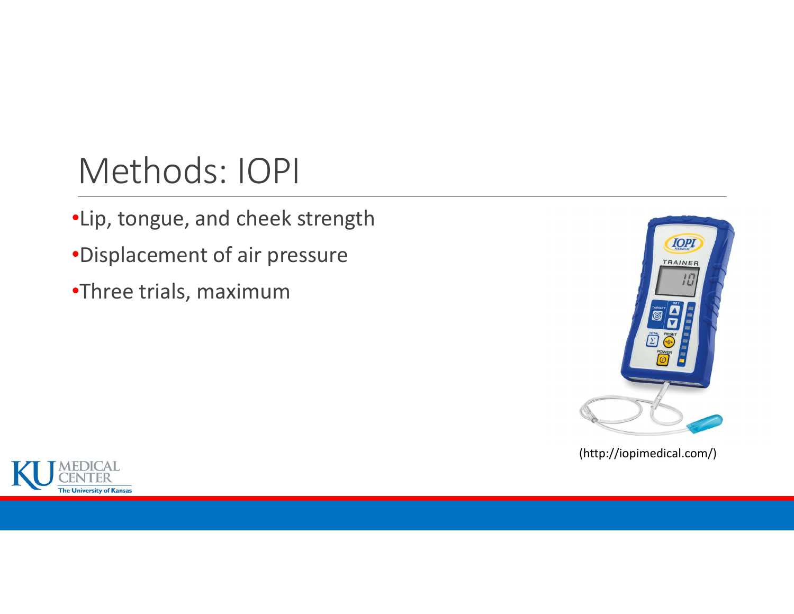# Methods: IOPI

- •Lip, tongue, and cheek strength
- •Displacement of air pressure
- •Three trials, maximum



(http://iopimedical.com/)

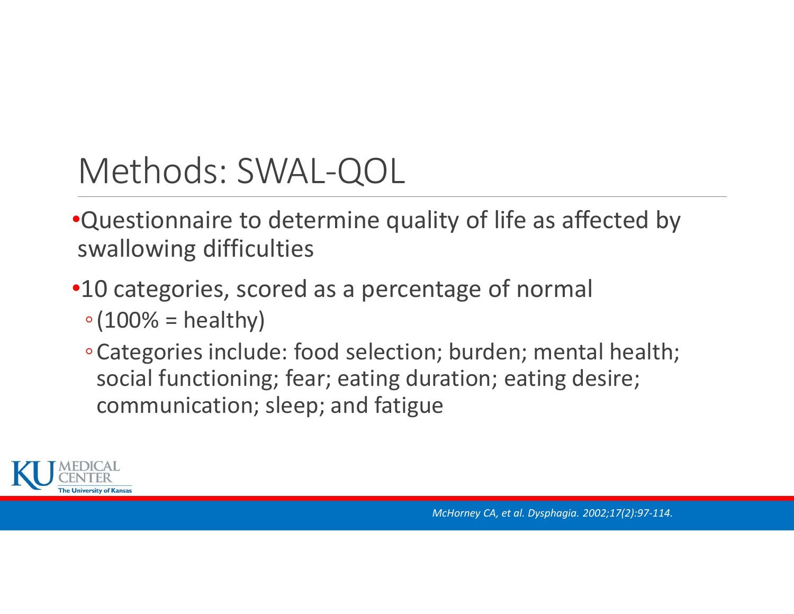# Methods: SWAL-QOL

- •Questionnaire to determine quality of life as affected by swallowing difficulties
- •10 categories, scored as a percentage of normal
	- $\circ$  (100% = healthy)
- ◦Categories include: food selection; burden; mental health; social functioning; fear; eating duration; eating desire; communication; sleep; and fatigue Norden; mental health;<br>Italian; eating desire;<br>Pe<br>McHorney CA, et al. Dysphagia. 2002;17(2):97-114.

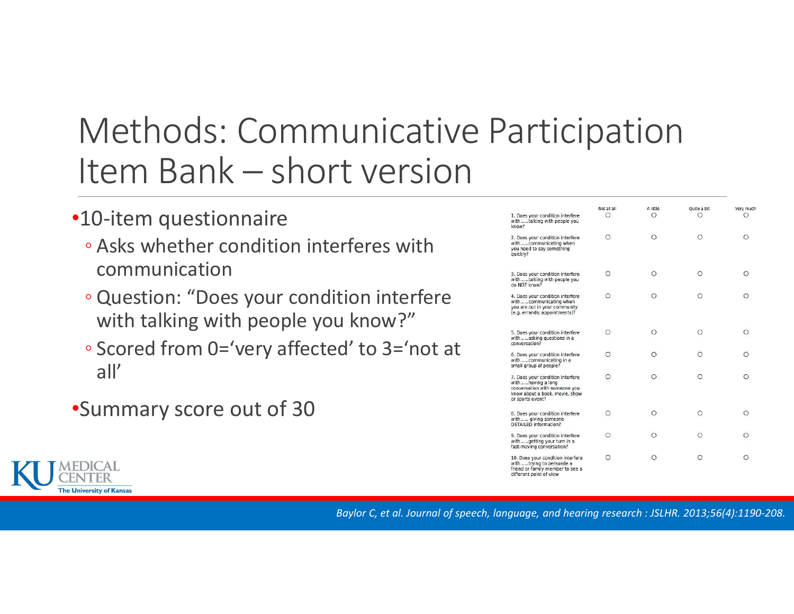# Methods: Communicative Participation Methods: Communicative Participa<br>Item Bank – short version<br><sup>10-item</sup> questionnaire<br>
• Asks whether condition interferes with

- •10-item questionnaire
	- Asks whether condition interferes with communication
	- Question: "Does your condition interfere with talking with people you know?"
	- Scored from 0='very affected' to 3='not at all'
- •Summary score out of 30

| 1. Does your condition interfere                                                                                                             | Not at all<br>O | A little<br>Ω | Quite a bit<br>Ω | Very much<br>O |
|----------------------------------------------------------------------------------------------------------------------------------------------|-----------------|---------------|------------------|----------------|
| withtalking with people you<br>know?                                                                                                         |                 |               |                  |                |
| 2. Does your condition interfere<br>withcommunicating when<br>you need to say something<br>quickly?                                          | Ο               | Ο             | Ω                | ⊙              |
| 3. Does your condition interfere<br>withtalking with people you<br>do NOT know?                                                              | $\circ$         | O             | $\Omega$         | O              |
| 4. Does your condition interfere<br>withcommunicating when<br>you are out in your community<br>(e.g. errands; appointments)?                 | Ο               | Ο             | $\circ$          | Ω              |
| 5. Does your condition interfere<br>withasking questions in a<br>conversation?                                                               | O               | Ο             | O                | Ο              |
| 6. Does your condition interfere<br>withcommunicating in a<br>small group of people?                                                         | Ω               | $\circ$       | ∩                | ∩              |
| 7. Does your condition interfere<br>withhaving a long<br>conversation with someone you<br>know about a book, movie, show<br>or sports event? | $\circ$         | $\circ$       | O                | O              |
| 8. Does your condition interfere<br>with giving someone<br><b>DETAILED</b> information?                                                      | O               | Ω             | O                | O              |
| 9. Does your condition interfere<br>withqetting your turn in a<br>fast-moving conversation?                                                  | ∩               | Ω             | ∩                | Ω              |
| 10. Does your condition interfere<br>withtrying to persuade a<br>friend or family member to see a<br>different point of view                 | $\circ$         | O             | Ω                | $\bigcirc$     |

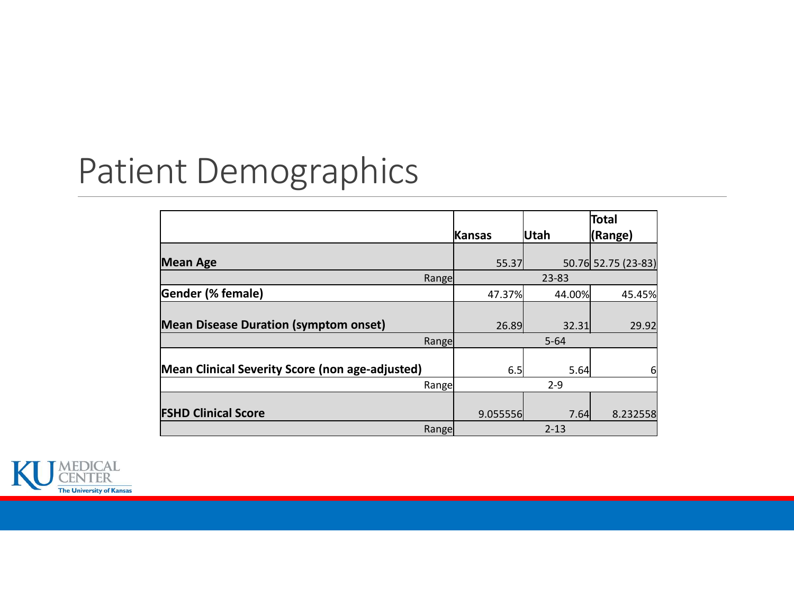# Patient Demographics

| nt Demographics                                 |          |          |                     |
|-------------------------------------------------|----------|----------|---------------------|
|                                                 |          |          |                     |
|                                                 |          |          | Total               |
|                                                 | Kansas   | Utah     | (Range)             |
| <b>Mean Age</b>                                 | 55.37    |          | 50.76 52.75 (23-83) |
| Range                                           |          | 23-83    |                     |
| Gender (% female)                               | 47.37%   | 44.00%   | 45.45%              |
| <b>Mean Disease Duration (symptom onset)</b>    | 26.89    | 32.31    | 29.92               |
| Range                                           |          | $5 - 64$ |                     |
| Mean Clinical Severity Score (non age-adjusted) | 6.5      | 5.64     | 6                   |
| Range                                           |          | $2 - 9$  |                     |
| <b>FSHD Clinical Score</b>                      | 9.055556 | 7.64     | 8.232558            |
| Range                                           |          | $2 - 13$ |                     |
|                                                 |          |          |                     |
|                                                 |          |          |                     |
|                                                 |          |          |                     |

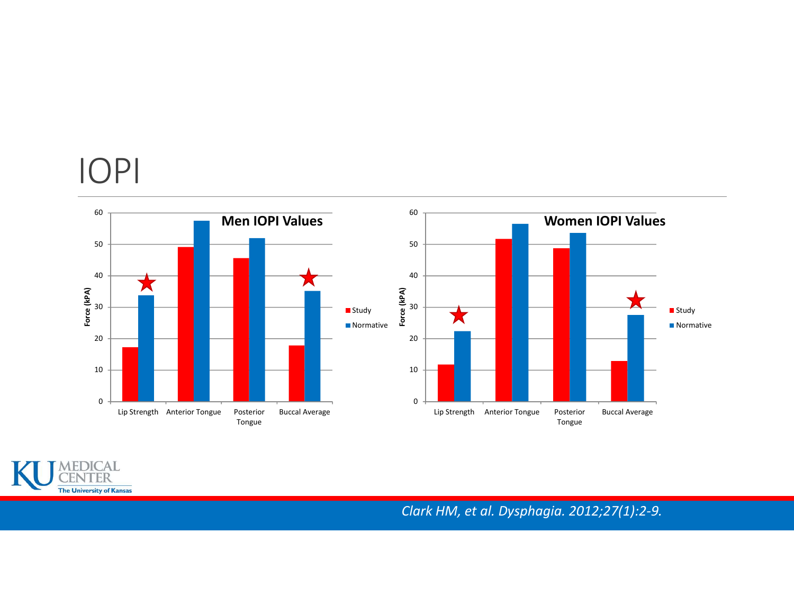# IOPI





Clark HM, et al. Dysphagia. 2012;27(1):2-9.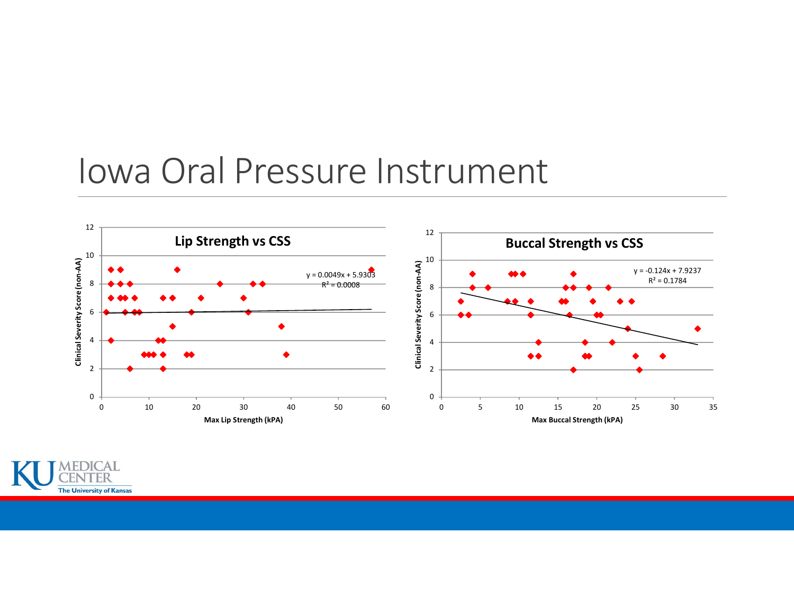## Iowa Oral Pressure Instrument



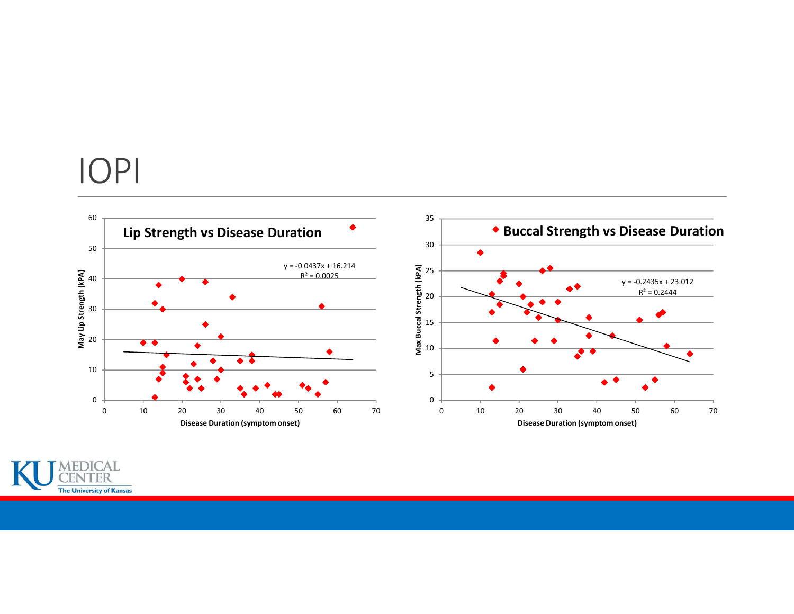# IOPI



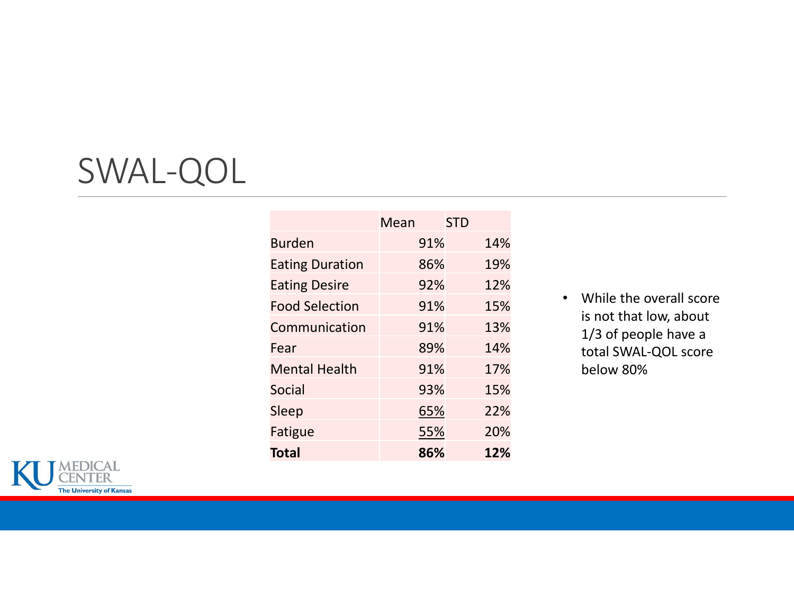# SWAL-QOL

| <b>Burden</b>          | Mean<br>91% | <b>STD</b><br>14% |
|------------------------|-------------|-------------------|
| <b>Eating Duration</b> | 86%         | 19%               |
| <b>Eating Desire</b>   | 92%         | 12%               |
| <b>Food Selection</b>  | 91%         | 15%               |
| Communication          | 91%         | 13%               |
| Fear                   | 89%         | 14%               |
| <b>Mental Health</b>   | 91%         | 17%               |
| <b>Social</b>          | 93%         | 15%               |
| <b>Sleep</b>           | 65%         | 22%               |
| Fatigue                | 55%         | 20%               |
| <b>Total</b>           | 86%         | 12%               |

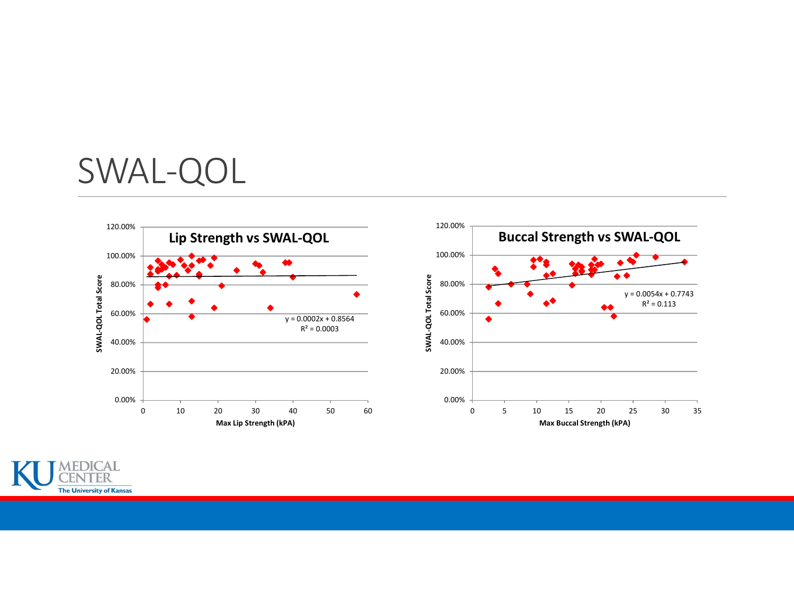# SWAL-QOL



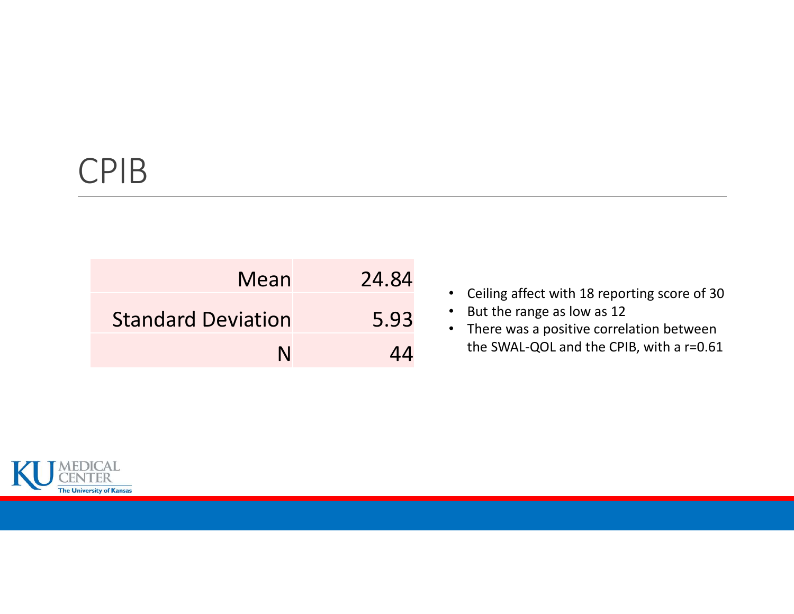# CPIB

| PHB                       |       |                                                                                     |
|---------------------------|-------|-------------------------------------------------------------------------------------|
|                           |       |                                                                                     |
| Mean                      | 24.84 | Ceiling affect with 18 reporting score of 3<br>$\bullet$                            |
| <b>Standard Deviation</b> | 5.93  | But the range as low as 12<br>There was a positive correlation between<br>$\bullet$ |
| N                         | 44    | the SWAL-QOL and the CPIB, with a r=0.6:                                            |
|                           |       |                                                                                     |
|                           |       |                                                                                     |

- But the range as low as 12
- There was a positive correlation between the SWAL-QOL and the CPIB, with a r=0.61

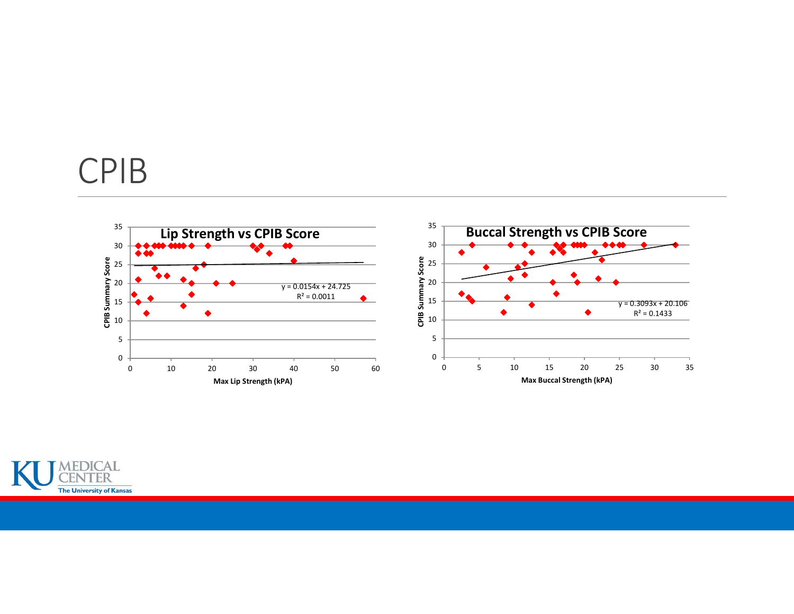### CPIB



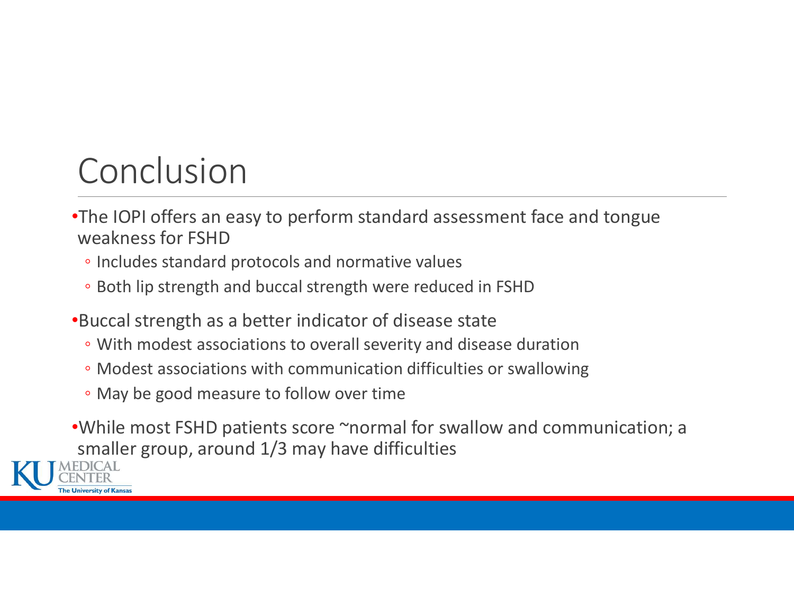# Conclusion

- •The IOPI offers an easy to perform standard assessment face and tongue weakness for FSHD
	- Includes standard protocols and normative values
	- Both lip strength and buccal strength were reduced in FSHD
- •Buccal strength as a better indicator of disease state
	- With modest associations to overall severity and disease duration
	- Modest associations with communication difficulties or swallowing
	- May be good measure to follow over time
- •While most FSHD patients score ~normal for swallow and communication; a smaller group, around 1/3 may have difficulties

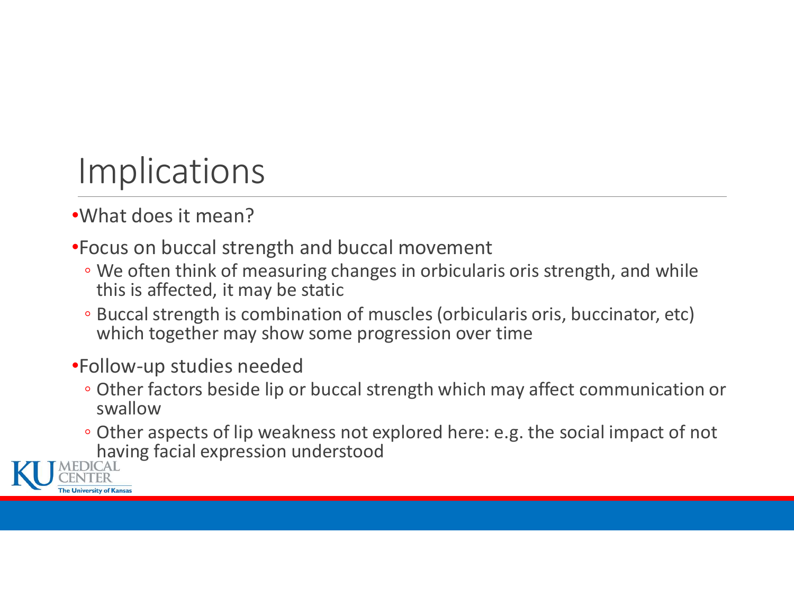# Implications

#### •What does it mean?

- •Focus on buccal strength and buccal movement
- mplications<br>
What does it mean?<br>
Focus on buccal strength and buccal movement<br>
 We often think of measuring changes in orbicularis oris strength, and while<br>
 Buccal strength is combination of muscles (orbicularis oris, b • We often think of measuring changes in orbicularis oris strength, and while this is affected, it may be static
	- Buccal strength is combination of muscles (orbicularis oris, buccinator, etc) which together may show some progression over time
- •Follow-up studies needed
	- Other factors beside lip or buccal strength which may affect communication or swallow
	- Other aspects of lip weakness not explored here: e.g. the social impact of not having facial expression understood